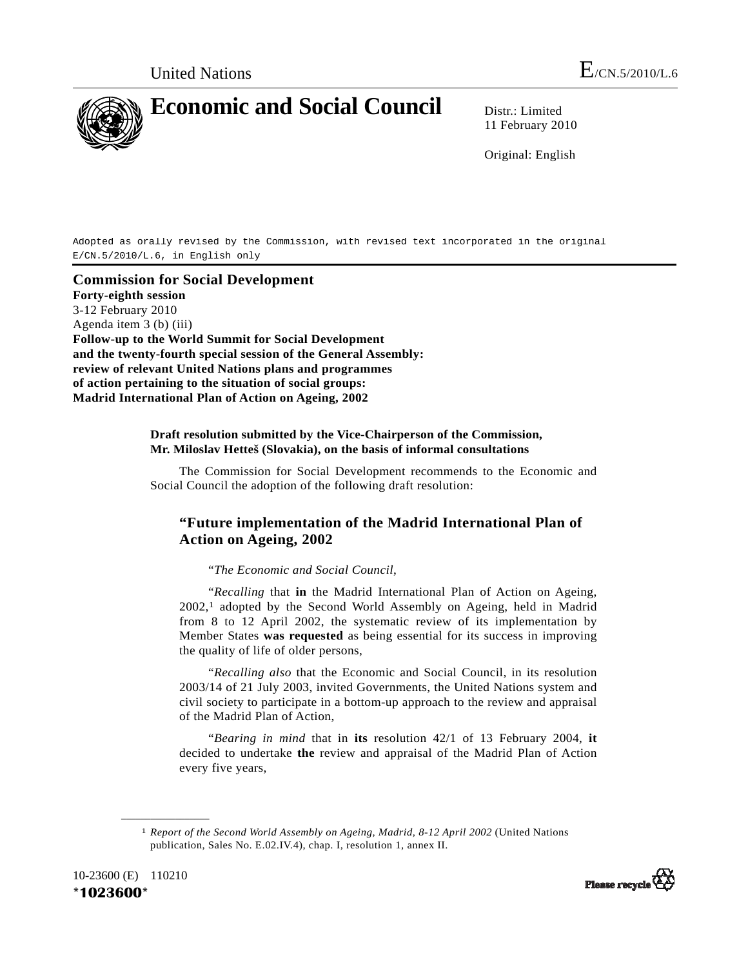Adopted as orally revised by the Commission, with revised text incorporated in the original E/CN.5/2010/L.6, in English only

**Commission for Social Development Forty-eighth session**  3-12 February 2010 Agenda item 3 (b) (iii) **Follow-up to the World Summit for Social Development and the twenty-fourth special session of the General Assembly: review of relevant United Nations plans and programmes of action pertaining to the situation of social groups: Madrid International Plan of Action on Ageing, 2002** 

## **Draft resolution submitted by the Vice-Chairperson of the Commission, Mr. Miloslav Hetteš (Slovakia), on the basis of informal consultations**

 The Commission for Social Development recommends to the Economic and Social Council the adoption of the following draft resolution:

## **"Future implementation of the Madrid International Plan of Action on Ageing, 2002**

"*The Economic and Social Council*,

 "*Recalling* that **in** the Madrid International Plan of Action on Ageing, 2002,1 adopted by the Second World Assembly on Ageing, held in Madrid from 8 to 12 April 2002, the systematic review of its implementation by Member States **was requested** as being essential for its success in improving the quality of life of older persons,

 "*Recalling also* that the Economic and Social Council, in its resolution 2003/14 of 21 July 2003, invited Governments, the United Nations system and civil society to participate in a bottom-up approach to the review and appraisal of the Madrid Plan of Action,

 "*Bearing in mind* that in **its** resolution 42/1 of 13 February 2004, **it**  decided to undertake **the** review and appraisal of the Madrid Plan of Action every five years,

<sup>1</sup> *Report of the Second World Assembly on Ageing, Madrid, 8-12 April 2002* (United Nations publication, Sales No. E.02.IV.4), chap. I, resolution 1, annex II.



**\_\_\_\_\_\_\_\_\_\_\_\_\_\_\_\_\_\_** 

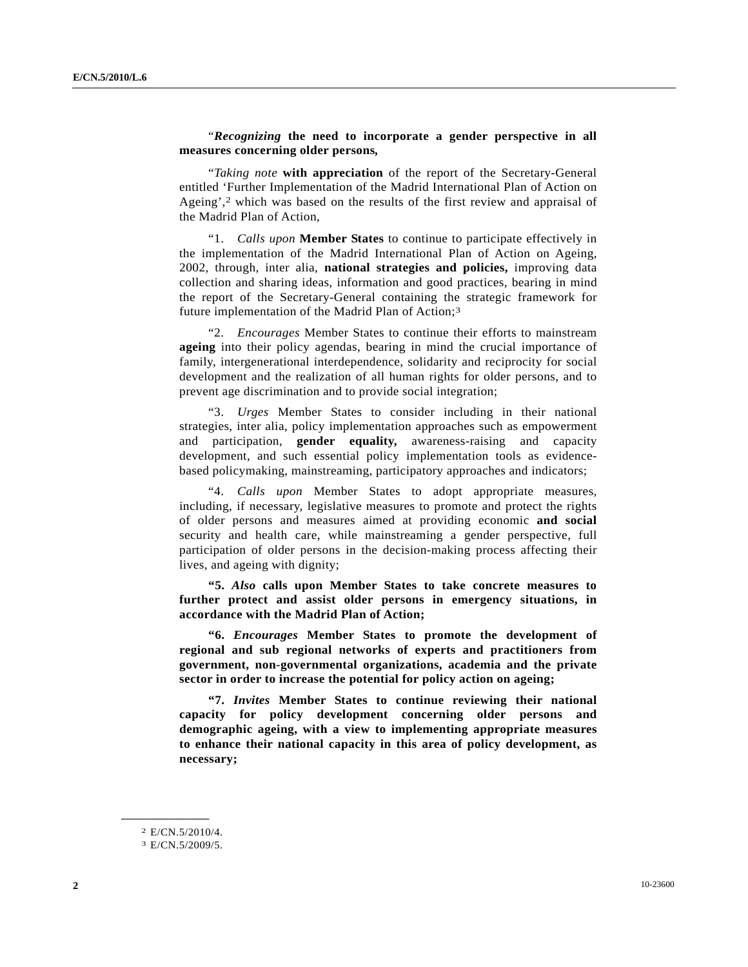## "*Recognizing* **the need to incorporate a gender perspective in all measures concerning older persons***,*

 "*Taking note* **with appreciation** of the report of the Secretary-General entitled 'Further Implementation of the Madrid International Plan of Action on Ageing',2 which was based on the results of the first review and appraisal of the Madrid Plan of Action,

 "1. *Calls upon* **Member States** to continue to participate effectively in the implementation of the Madrid International Plan of Action on Ageing, 2002, through, inter alia, **national strategies and policies,** improving data collection and sharing ideas, information and good practices, bearing in mind the report of the Secretary-General containing the strategic framework for future implementation of the Madrid Plan of Action;3

 "2. *Encourages* Member States to continue their efforts to mainstream **ageing** into their policy agendas, bearing in mind the crucial importance of family, intergenerational interdependence, solidarity and reciprocity for social development and the realization of all human rights for older persons, and to prevent age discrimination and to provide social integration;

 "3. *Urges* Member States to consider including in their national strategies, inter alia, policy implementation approaches such as empowerment and participation, **gender equality,** awareness-raising and capacity development, and such essential policy implementation tools as evidencebased policymaking, mainstreaming, participatory approaches and indicators;

 "4. *Calls upon* Member States to adopt appropriate measures, including, if necessary, legislative measures to promote and protect the rights of older persons and measures aimed at providing economic **and social** security and health care, while mainstreaming a gender perspective, full participation of older persons in the decision-making process affecting their lives, and ageing with dignity;

 **"5.** *Also* **calls upon Member States to take concrete measures to further protect and assist older persons in emergency situations, in accordance with the Madrid Plan of Action;** 

 **"6.** *Encourages* **Member States to promote the development of regional and sub regional networks of experts and practitioners from government, non-governmental organizations, academia and the private sector in order to increase the potential for policy action on ageing;** 

 **"7.** *Invites* **Member States to continue reviewing their national capacity for policy development concerning older persons and demographic ageing, with a view to implementing appropriate measures to enhance their national capacity in this area of policy development, as necessary;** 

**\_\_\_\_\_\_\_\_\_\_\_\_\_\_\_\_\_\_** 

<sup>2</sup> E/CN.5/2010/4.

<sup>3</sup> E/CN.5/2009/5.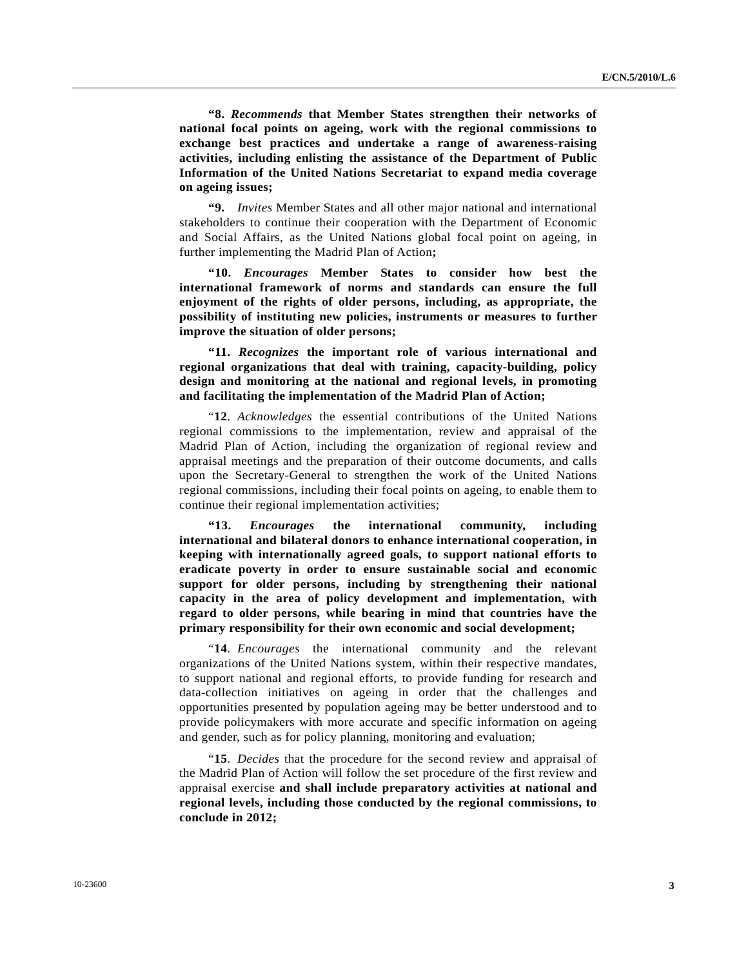**"8.** *Recommends* **that Member States strengthen their networks of national focal points on ageing, work with the regional commissions to exchange best practices and undertake a range of awareness-raising activities, including enlisting the assistance of the Department of Public Information of the United Nations Secretariat to expand media coverage on ageing issues;** 

 **"9.** *Invites* Member States and all other major national and international stakeholders to continue their cooperation with the Department of Economic and Social Affairs, as the United Nations global focal point on ageing, in further implementing the Madrid Plan of Action**;** 

 **"10.** *Encourages* **Member States to consider how best the international framework of norms and standards can ensure the full enjoyment of the rights of older persons, including, as appropriate, the possibility of instituting new policies, instruments or measures to further improve the situation of older persons;** 

 **"11.** *Recognizes* **the important role of various international and regional organizations that deal with training, capacity-building, policy design and monitoring at the national and regional levels, in promoting and facilitating the implementation of the Madrid Plan of Action;** 

 "**12**. *Acknowledges* the essential contributions of the United Nations regional commissions to the implementation, review and appraisal of the Madrid Plan of Action, including the organization of regional review and appraisal meetings and the preparation of their outcome documents, and calls upon the Secretary-General to strengthen the work of the United Nations regional commissions, including their focal points on ageing, to enable them to continue their regional implementation activities;

 **"13.** *Encourages* **the international community, including international and bilateral donors to enhance international cooperation, in keeping with internationally agreed goals, to support national efforts to eradicate poverty in order to ensure sustainable social and economic support for older persons, including by strengthening their national capacity in the area of policy development and implementation, with regard to older persons, while bearing in mind that countries have the primary responsibility for their own economic and social development;** 

 "**14**. *Encourages* the international community and the relevant organizations of the United Nations system, within their respective mandates, to support national and regional efforts, to provide funding for research and data-collection initiatives on ageing in order that the challenges and opportunities presented by population ageing may be better understood and to provide policymakers with more accurate and specific information on ageing and gender, such as for policy planning, monitoring and evaluation;

 "**15**. *Decides* that the procedure for the second review and appraisal of the Madrid Plan of Action will follow the set procedure of the first review and appraisal exercise **and shall include preparatory activities at national and regional levels, including those conducted by the regional commissions, to conclude in 2012;**